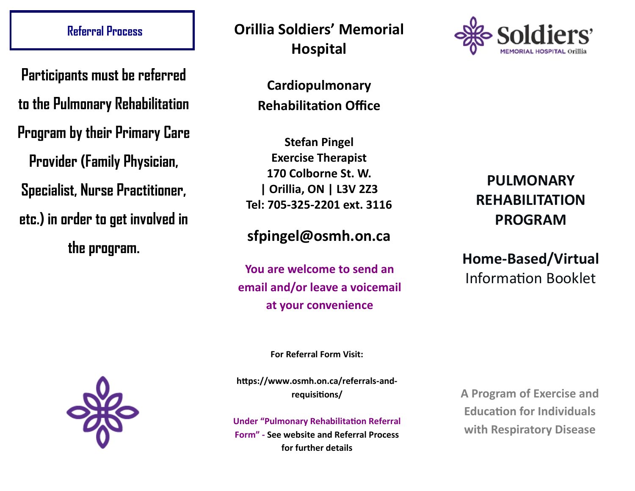**Participants must be referred to the Pulmonary Rehabilitation Program by their Primary Care Provider (Family Physician, Specialist, Nurse Practitioner, etc.) in order to get involved in the program.** 



# **Referral Process Orillia Soldiers' Memorial Hospital**

**Cardiopulmonary Rehabilitation Office**

**Stefan Pingel Exercise Therapist 170 Colborne St. W. | Orillia, ON | L3V 2Z3 Tel: 705-325-2201 ext. 3116**

# **sfpingel@osmh.on.ca**

**Information Booklet You are welcome to send an Information Booklet email and/or leave a voicemail at your convenience** 



# **PULMONARY REHABILITATION PROGRAM**

# **Home-Based/Virtual**

**For Referral Form Visit:**

**https://www.osmh.on.ca/referrals-andrequisitions/**

**Under "Pulmonary Rehabilitation Referral Form" - See website and Referral Process for further details**

**A Program of Exercise and Education for Individuals with Respiratory Disease**